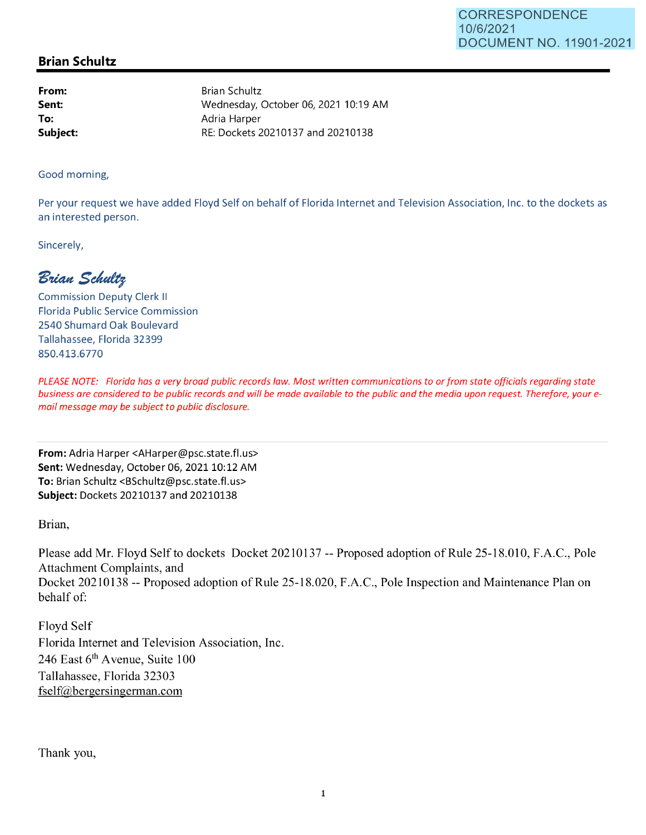## **Brian Schultz**

**From: Sent: To: Subject:**  Brian Schultz Wednesday, October 06, 2021 10:19 AM Adria Harper RE: Dockets 20210137 and 20210138

Good morning,

Per your request we have added Floyd Self on behalf of Florida Internet and Television Association, Inc. to the dockets as an interested person.

Sincerely,

 $B$ rian Schultz

Commission Deputy Clerk II Florida Public Service Commission 2540 Shumard Oak Boulevard Tallahassee, Florida 32399 850.413.6770

PLEASE NOTE: Florida has a very broad public records law. Most written communications to or from state officials regarding state business are considered to be public records and will be made available to the public and the media upon request. Therefore, your email message may be subject to public disclosure.

**From:** Adria Harper <AHarper@psc.state.fl.us> **Sent:** Wednesday, October 06, 2021 10:12 AM **To:** Brian Schultz <BSchultz@psc.state.fl.us> **Subject:** Dockets 20210137 and 20210138

Brian,

Please add Mr. Floyd Self to dockets Docket 20210137 -- Proposed adoption of Rule 25-18.010, F.A.C., Pole Attachment Complaints, and Docket 20210138 -- Proposed adoption of Rule 25-18.020, F.A.C., Pole Inspection and Maintenance Plan on behalf of:

Floyd Self Florida Internet and Television Association, Inc. 246 East  $6<sup>th</sup>$  Avenue, Suite 100 Tallahassee, Florida 32303 fself@bergersingerman.com

Thank you,